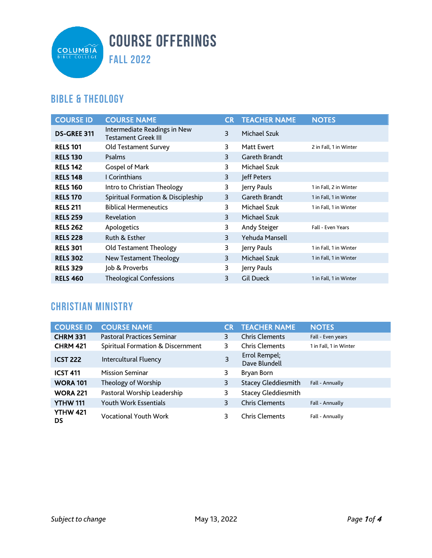

### **Bible & Theology**

| <b>COURSE ID</b>   | <b>COURSE NAME</b>                                         | <b>CR</b> | <b>TEACHER NAME</b>  | <b>NOTES</b>           |
|--------------------|------------------------------------------------------------|-----------|----------------------|------------------------|
| <b>DS-GREE 311</b> | Intermediate Readings in New<br><b>Testament Greek III</b> | 3         | Michael Szuk         |                        |
| <b>RELS 101</b>    | Old Testament Survey                                       | 3         | <b>Matt Ewert</b>    | 2 in Fall, 1 in Winter |
| <b>RELS 130</b>    | Psalms                                                     | 3         | Gareth Brandt        |                        |
| <b>RELS 142</b>    | Gospel of Mark                                             | 3         | Michael Szuk         |                        |
| <b>RELS 148</b>    | I Corinthians                                              | 3         | Jeff Peters          |                        |
| <b>RELS 160</b>    | Intro to Christian Theology                                | 3         | Jerry Pauls          | 1 in Fall, 2 in Winter |
| <b>RELS 170</b>    | Spiritual Formation & Discipleship                         | 3         | <b>Gareth Brandt</b> | 1 in Fall, 1 in Winter |
| <b>RELS 211</b>    | <b>Biblical Hermeneutics</b>                               | 3         | Michael Szuk         | 1 in Fall, 1 in Winter |
| <b>RELS 259</b>    | Revelation                                                 | 3         | Michael Szuk         |                        |
| <b>RELS 262</b>    | Apologetics                                                | 3         | Andy Steiger         | Fall - Even Years      |
| <b>RELS 228</b>    | Ruth & Esther                                              | 3         | Yehuda Mansell       |                        |
| <b>RELS 301</b>    | Old Testament Theology                                     | 3         | Jerry Pauls          | 1 in Fall, 1 in Winter |
| <b>RELS 302</b>    | <b>New Testament Theology</b>                              | 3         | Michael Szuk         | 1 in Fall, 1 in Winter |
| <b>RELS 329</b>    | Job & Proverbs                                             | 3         | Jerry Pauls          |                        |
| <b>RELS 460</b>    | <b>Theological Confessions</b>                             | 3         | <b>Gil Dueck</b>     | 1 in Fall, 1 in Winter |

### **Christian Ministry**

| <b>COURSE ID</b>      | <b>COURSE NAME</b>                | CR | <b>TEACHER NAME</b>            | <b>NOTES</b>           |
|-----------------------|-----------------------------------|----|--------------------------------|------------------------|
| <b>CHRM 331</b>       | <b>Pastoral Practices Seminar</b> | 3  | <b>Chris Clements</b>          | Fall - Even years      |
| <b>CHRM 421</b>       | Spiritual Formation & Discernment | 3  | <b>Chris Clements</b>          | 1 in Fall, 1 in Winter |
| <b>ICST 222</b>       | Intercultural Fluency             | 3  | Errol Rempel;<br>Dave Blundell |                        |
| <b>ICST 411</b>       | <b>Mission Seminar</b>            | 3  | Bryan Born                     |                        |
| <b>WORA 101</b>       | Theology of Worship               | 3  | <b>Stacey Gleddiesmith</b>     | Fall - Annually        |
| <b>WORA 221</b>       | Pastoral Worship Leadership       | 3  | <b>Stacey Gleddiesmith</b>     |                        |
| <b>YTHW 111</b>       | <b>Youth Work Essentials</b>      | 3  | <b>Chris Clements</b>          | Fall - Annually        |
| <b>YTHW 421</b><br>DS | <b>Vocational Youth Work</b>      | 3  | <b>Chris Clements</b>          | Fall - Annually        |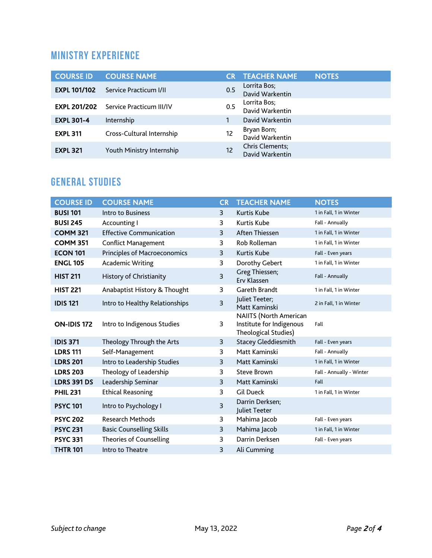### **Ministry Experience**

| <b>COURSE ID</b>    | <b>COURSE NAME</b>                           |     | <b>TEACHER NAME</b>                | <b>NOTES</b> |
|---------------------|----------------------------------------------|-----|------------------------------------|--------------|
| <b>EXPL 101/102</b> | Service Practicum I/II                       | 0.5 | Lorrita Bos;<br>David Warkentin    |              |
|                     | <b>EXPL 201/202</b> Service Practicum III/IV | 0.5 | Lorrita Bos;<br>David Warkentin    |              |
| <b>EXPL 301-4</b>   | Internship                                   |     | David Warkentin                    |              |
| <b>EXPL 311</b>     | Cross-Cultural Internship                    | 12  | Bryan Born;<br>David Warkentin     |              |
| <b>EXPL 321</b>     | Youth Ministry Internship                    | 12  | Chris Clements;<br>David Warkentin |              |

## **General Studies**

| <b>COURSE ID</b>   | <b>COURSE NAME</b>                  | <b>CR</b> | <b>TEACHER NAME</b>                                                               | <b>NOTES</b>             |
|--------------------|-------------------------------------|-----------|-----------------------------------------------------------------------------------|--------------------------|
| <b>BUSI 101</b>    | Intro to Business                   | 3         | <b>Kurtis Kube</b>                                                                | 1 in Fall, 1 in Winter   |
| <b>BUSI 245</b>    | Accounting I                        | 3         | Kurtis Kube                                                                       | Fall - Annually          |
| <b>COMM 321</b>    | <b>Effective Communication</b>      | 3         | Aften Thiessen                                                                    | 1 in Fall, 1 in Winter   |
| <b>COMM 351</b>    | <b>Conflict Management</b>          | 3         | Rob Rolleman                                                                      | 1 in Fall, 1 in Winter   |
| <b>ECON 101</b>    | <b>Principles of Macroeconomics</b> | 3         | <b>Kurtis Kube</b>                                                                | Fall - Even years        |
| <b>ENGL 105</b>    | <b>Academic Writing</b>             | 3         | Dorothy Gebert                                                                    | 1 in Fall, 1 in Winter   |
| <b>HIST 211</b>    | History of Christianity             | 3         | Greg Thiessen;<br>Erv Klassen                                                     | Fall - Annually          |
| <b>HIST 221</b>    | Anabaptist History & Thought        | 3         | Gareth Brandt                                                                     | 1 in Fall, 1 in Winter   |
| <b>IDIS 121</b>    | Intro to Healthy Relationships      | 3         | Juliet Teeter;<br>Matt Kaminski                                                   | 2 in Fall, 1 in Winter   |
| <b>ON-IDIS 172</b> | Intro to Indigenous Studies         | 3         | <b>NAIITS (North American</b><br>Institute for Indigenous<br>Theological Studies) | Fall                     |
| <b>IDIS 371</b>    | Theology Through the Arts           | 3         | <b>Stacey Gleddiesmith</b>                                                        | Fall - Even years        |
| <b>LDRS 111</b>    | Self-Management                     | 3         | Matt Kaminski                                                                     | Fall - Annually          |
| <b>LDRS 201</b>    | Intro to Leadership Studies         | 3         | Matt Kaminski                                                                     | 1 in Fall, 1 in Winter   |
| <b>LDRS 203</b>    | Theology of Leadership              | 3         | <b>Steve Brown</b>                                                                | Fall - Annually - Winter |
| <b>LDRS 391 DS</b> | Leadership Seminar                  | 3         | Matt Kaminski                                                                     | Fall                     |
| <b>PHIL 231</b>    | <b>Ethical Reasoning</b>            | 3         | <b>Gil Dueck</b>                                                                  | 1 in Fall, 1 in Winter   |
| <b>PSYC 101</b>    | Intro to Psychology I               | 3         | Darrin Derksen;<br>Juliet Teeter                                                  |                          |
| <b>PSYC 202</b>    | <b>Research Methods</b>             | 3         | Mahima Jacob                                                                      | Fall - Even years        |
| <b>PSYC 231</b>    | <b>Basic Counselling Skills</b>     | 3         | Mahima Jacob                                                                      | 1 in Fall, 1 in Winter   |
| <b>PSYC 331</b>    | <b>Theories of Counselling</b>      | 3         | Darrin Derksen                                                                    | Fall - Even years        |
| <b>THTR 101</b>    | Intro to Theatre                    | 3         | Ali Cumming                                                                       |                          |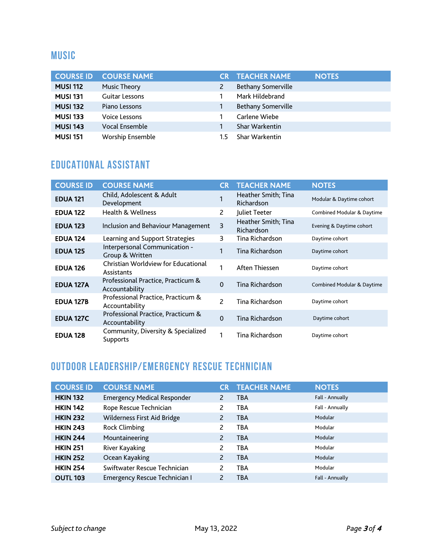#### **Music**

| <b>COURSE ID</b> | <b>COURSE NAME</b>    |     | <b>CR TEACHER NAME</b>    | <b>NOTES</b> |
|------------------|-----------------------|-----|---------------------------|--------------|
| <b>MUSI 112</b>  | <b>Music Theory</b>   |     | <b>Bethany Somerville</b> |              |
| <b>MUSI 131</b>  | <b>Guitar Lessons</b> |     | Mark Hildebrand           |              |
| <b>MUSI 132</b>  | Piano Lessons         |     | <b>Bethany Somerville</b> |              |
| <b>MUSI 133</b>  | <b>Voice Lessons</b>  |     | Carlene Wiebe             |              |
| <b>MUSI 143</b>  | <b>Vocal Ensemble</b> |     | <b>Shar Warkentin</b>     |              |
| <b>MUSI 151</b>  | Worship Ensemble      | 1.5 | <b>Shar Warkentin</b>     |              |

## **Educational Assistant**

| <b>COURSE ID</b> | <b>COURSE NAME</b>                                   | <b>CR</b>      | <b>TEACHER NAME</b>               | <b>NOTES</b>                          |
|------------------|------------------------------------------------------|----------------|-----------------------------------|---------------------------------------|
| <b>EDUA 121</b>  | Child, Adolescent & Adult<br>Development             | 1              | Heather Smith; Tina<br>Richardson | Modular & Daytime cohort              |
| <b>EDUA 122</b>  | Health & Wellness                                    | 2              | Juliet Teeter                     | Combined Modular & Daytime            |
| <b>EDUA 123</b>  | Inclusion and Behaviour Management                   | 3              | Heather Smith; Tina<br>Richardson | Evening & Daytime cohort              |
| <b>EDUA 124</b>  | Learning and Support Strategies                      | 3              | Tina Richardson                   | Daytime cohort                        |
| <b>EDUA 125</b>  | Interpersonal Communication -<br>Group & Written     | 1              | Tina Richardson                   | Daytime cohort                        |
| <b>EDUA 126</b>  | Christian Worldview for Educational<br>Assistants    | 1              | Aften Thiessen                    | Daytime cohort                        |
| <b>EDUA 127A</b> | Professional Practice, Practicum &<br>Accountability | $\mathbf{0}$   | Tina Richardson                   | <b>Combined Modular &amp; Daytime</b> |
| <b>EDUA 127B</b> | Professional Practice, Practicum &<br>Accountability | $\overline{c}$ | Tina Richardson                   | Daytime cohort                        |
| <b>EDUA 127C</b> | Professional Practice, Practicum &<br>Accountability | $\mathbf{0}$   | Tina Richardson                   | Daytime cohort                        |
| <b>EDUA 128</b>  | Community, Diversity & Specialized<br>Supports       | 1              | Tina Richardson                   | Daytime cohort                        |

#### **Outdoor Leadership/Emergency Rescue TECHnician**

| <b>COURSE ID</b> | <b>COURSE NAME</b>                   | CR | <b>TEACHER NAME</b> | <b>NOTES</b>    |
|------------------|--------------------------------------|----|---------------------|-----------------|
| <b>HKIN 132</b>  | <b>Emergency Medical Responder</b>   | 2  | <b>TBA</b>          | Fall - Annually |
| <b>HKIN 142</b>  | Rope Rescue Technician               | 2  | TBA                 | Fall - Annually |
| <b>HKIN 232</b>  | Wilderness First Aid Bridge          | 2  | <b>TBA</b>          | Modular         |
| <b>HKIN 243</b>  | <b>Rock Climbing</b>                 | 2  | <b>TBA</b>          | Modular         |
| <b>HKIN 244</b>  | Mountaineering                       | 2  | <b>TBA</b>          | Modular         |
| <b>HKIN 251</b>  | River Kayaking                       | 2  | <b>TBA</b>          | Modular         |
| <b>HKIN 252</b>  | Ocean Kayaking                       | 2  | <b>TBA</b>          | Modular         |
| <b>HKIN 254</b>  | Swiftwater Rescue Technician         | 2  | <b>TBA</b>          | Modular         |
| <b>OUTL 103</b>  | <b>Emergency Rescue Technician I</b> | 2  | <b>TBA</b>          | Fall - Annually |